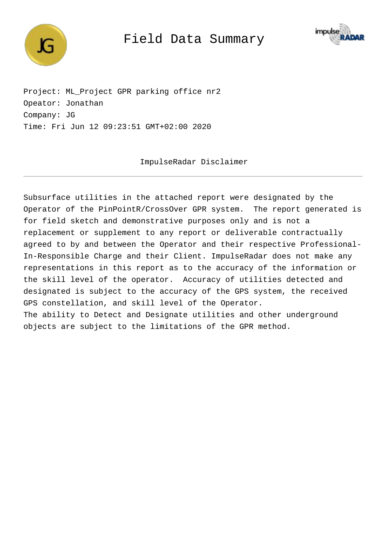

Field Data Summary



Project: ML\_Project GPR parking office nr2 Opeator: Jonathan Company: JG Time: Fri Jun 12 09:23:51 GMT+02:00 2020

ImpulseRadar Disclaimer

Subsurface utilities in the attached report were designated by the Operator of the PinPointR/CrossOver GPR system. The report generated is for field sketch and demonstrative purposes only and is not a replacement or supplement to any report or deliverable contractually agreed to by and between the Operator and their respective Professional-In-Responsible Charge and their Client. ImpulseRadar does not make any representations in this report as to the accuracy of the information or the skill level of the operator. Accuracy of utilities detected and designated is subject to the accuracy of the GPS system, the received GPS constellation, and skill level of the Operator. The ability to Detect and Designate utilities and other underground objects are subject to the limitations of the GPR method.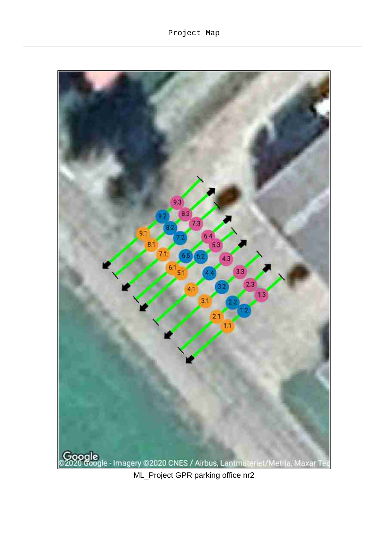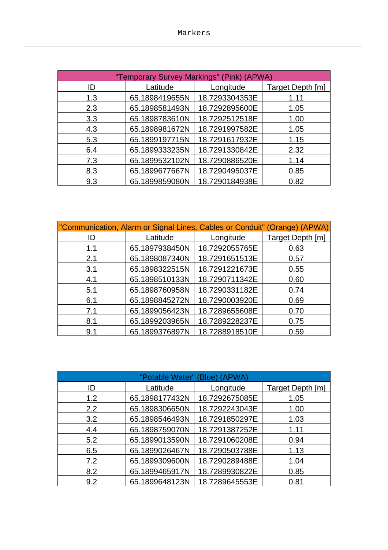| "Temporary Survey Markings" (Pink) (APWA) |                |                |                  |  |  |
|-------------------------------------------|----------------|----------------|------------------|--|--|
| ID                                        | Latitude       | Longitude      | Target Depth [m] |  |  |
| 1.3                                       | 65.1898419655N | 18.7293304353E | 1.11             |  |  |
| 2.3                                       | 65.1898581493N | 18.7292895600E | 1.05             |  |  |
| 3.3                                       | 65.1898783610N | 18.7292512518E | 1.00             |  |  |
| 4.3                                       | 65.1898981672N | 18.7291997582E | 1.05             |  |  |
| 5.3                                       | 65.1899197715N | 18.7291617932E | 1.15             |  |  |
| 6.4                                       | 65.1899333235N | 18.7291330842E | 2.32             |  |  |
| 7.3                                       | 65.1899532102N | 18.7290886520E | 1.14             |  |  |
| 8.3                                       | 65.1899677667N | 18.7290495037E | 0.85             |  |  |
| 9.3                                       | 65.1899859080N | 18.7290184938E | 0.82             |  |  |

| "Communication, Alarm or Signal Lines, Cables or Conduit" (Orange) (APWA) |                |                |                  |  |  |
|---------------------------------------------------------------------------|----------------|----------------|------------------|--|--|
| ID                                                                        | Latitude       | Longitude      | Target Depth [m] |  |  |
| 1.1                                                                       | 65.1897938450N | 18.7292055765E | 0.63             |  |  |
| 2.1                                                                       | 65.1898087340N | 18.7291651513E | 0.57             |  |  |
| 3.1                                                                       | 65.1898322515N | 18.7291221673E | 0.55             |  |  |
| 4.1                                                                       | 65.1898510133N | 18.7290711342E | 0.60             |  |  |
| 5.1                                                                       | 65.1898760958N | 18.7290331182E | 0.74             |  |  |
| 6.1                                                                       | 65.1898845272N | 18.7290003920E | 0.69             |  |  |
| 7.1                                                                       | 65.1899056423N | 18.7289655608E | 0.70             |  |  |
| 8.1                                                                       | 65.1899203965N | 18.7289228237E | 0.75             |  |  |
| 9.1                                                                       | 65.1899376897N | 18.7288918510E | 0.59             |  |  |

| "Potable Water" (Blue) (APWA) |                |                |                  |  |  |
|-------------------------------|----------------|----------------|------------------|--|--|
| ID                            | Latitude       | Longitude      | Target Depth [m] |  |  |
| 1.2                           | 65.1898177432N | 18.7292675085E | 1.05             |  |  |
| 2.2                           | 65.1898306650N | 18.7292243043E | 1.00             |  |  |
| 3.2                           | 65.1898546493N | 18.7291850297E | 1.03             |  |  |
| 4.4                           | 65.1898759070N | 18.7291387252E | 1.11             |  |  |
| 5.2                           | 65.1899013590N | 18.7291060208E | 0.94             |  |  |
| 6.5                           | 65.1899026467N | 18.7290503788E | 1.13             |  |  |
| 7.2                           | 65.1899309600N | 18.7290289488E | 1.04             |  |  |
| 8.2                           | 65.1899465917N | 18.7289930822E | 0.85             |  |  |
| 9.2                           | 65.1899648123N | 18.7289645553E | 0.81             |  |  |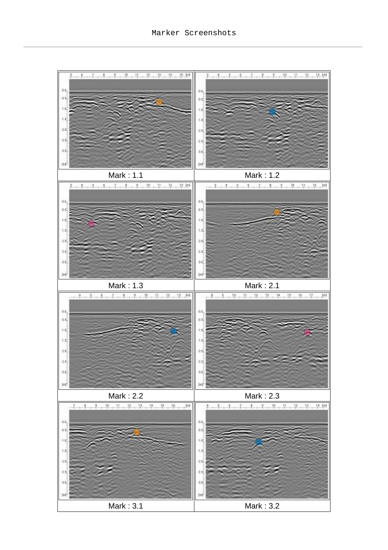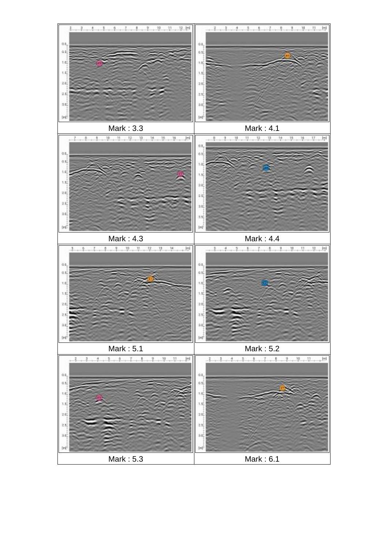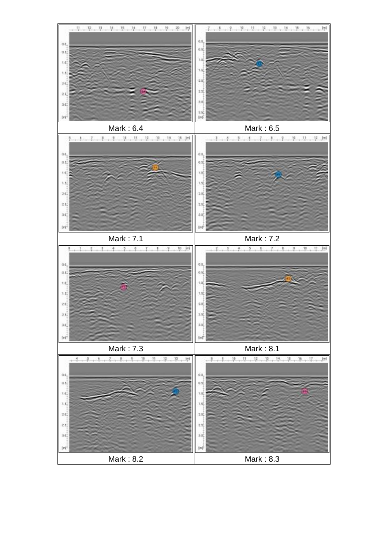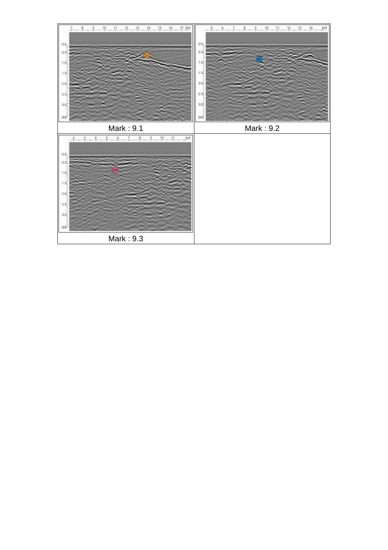![](_page_6_Figure_0.jpeg)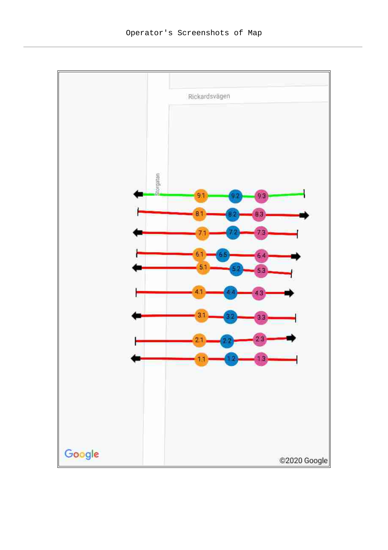![](_page_7_Figure_1.jpeg)